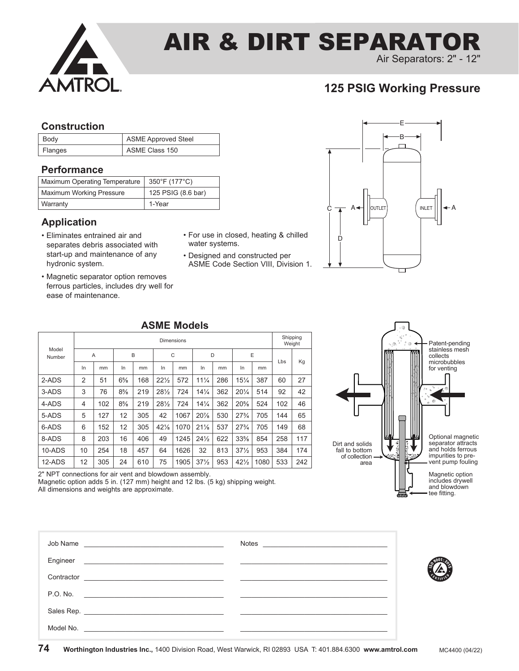

# AIR & DIRT SEPARATOR

Air Separators: 2" - 12"

# **125 PSIG Working Pressure**

### **Construction**

| Body    | <b>ASME Approved Steel</b> |
|---------|----------------------------|
| Flanges | ASME Class 150             |

## **Performance**

| Maximum Operating Temperature   | 350°F (177°C)      |
|---------------------------------|--------------------|
| <b>Maximum Working Pressure</b> | 125 PSIG (8.6 bar) |
| Warranty                        | 1-Year             |

### **Application**

- Eliminates entrained air and separates debris associated with start-up and maintenance of any hydronic system.
- Magnetic separator option removes ferrous particles, includes dry well for ease of maintenance.
- For use in closed, heating & chilled water systems.
- Designed and constructed per ASME Code Section VIII, Division 1.



### **ASME Models**

|                 | <b>Dimensions</b> |     |       |     |                 |      |                 |     |                 | Shipping<br>Weight |     |     |
|-----------------|-------------------|-----|-------|-----|-----------------|------|-----------------|-----|-----------------|--------------------|-----|-----|
| Model<br>Number | $\overline{A}$    |     | B     |     | C               |      | D               |     | E               |                    | Lbs |     |
|                 | In                | mm  | In    | mm  | In              | mm   | In              | mm  | In              | mm                 |     | Kg  |
| 2-ADS           | 2                 | 51  | $6\%$ | 168 | $22\frac{1}{2}$ | 572  | $11\frac{1}{4}$ | 286 | $15\frac{1}{4}$ | 387                | 60  | 27  |
| 3-ADS           | 3                 | 76  | $8\%$ | 219 | $28\frac{1}{2}$ | 724  | $14\frac{1}{4}$ | 362 | $20\frac{1}{4}$ | 514                | 92  | 42  |
| 4-ADS           | 4                 | 102 | $8\%$ | 219 | $28\frac{1}{2}$ | 724  | $14\frac{1}{4}$ | 362 | $20\%$          | 524                | 102 | 46  |
| 5-ADS           | 5                 | 127 | 12    | 305 | 42              | 1067 | 20%             | 530 | $27\frac{3}{4}$ | 705                | 144 | 65  |
| 6-ADS           | 6                 | 152 | 12    | 305 | 42%             | 1070 | 21%             | 537 | $27\frac{3}{4}$ | 705                | 149 | 68  |
| 8-ADS           | 8                 | 203 | 16    | 406 | 49              | 1245 | $24\frac{1}{2}$ | 622 | $33\%$          | 854                | 258 | 117 |
| 10-ADS          | 10                | 254 | 18    | 457 | 64              | 1626 | 32              | 813 | $37\frac{1}{2}$ | 953                | 384 | 174 |
| 12-ADS          | 12                | 305 | 24    | 610 | 75              | 1905 | $37\frac{1}{2}$ | 953 | $42\frac{1}{2}$ | 1080               | 533 | 242 |



2" NPT connections for air vent and blowdown assembly.

Magnetic option adds 5 in. (127 mm) height and 12 lbs. (5 kg) shipping weight. All dimensions and weights are approximate.

| Engineer<br><u> 1989 - Jan Sterlinger, skriuwer fan de Amerikaanske kommunister († 1908)</u>                                                                                                                                                      |  |
|---------------------------------------------------------------------------------------------------------------------------------------------------------------------------------------------------------------------------------------------------|--|
| Contractor<br><u> 2000 - Andrea Andrew Amerikaanse kommunister (</u> † 1900)                                                                                                                                                                      |  |
| P.O. No.                                                                                                                                                                                                                                          |  |
|                                                                                                                                                                                                                                                   |  |
| Model No.<br><u> 1980 - Johann John Stein, markin fan it fjort fan it fjort fan it fjort fan it fjort fan it fjort fan it fjort fan it fjort fan it fjort fan it fjort fan it fjort fan it fjort fan it fjort fan it fjort fan it fjort fan i</u> |  |